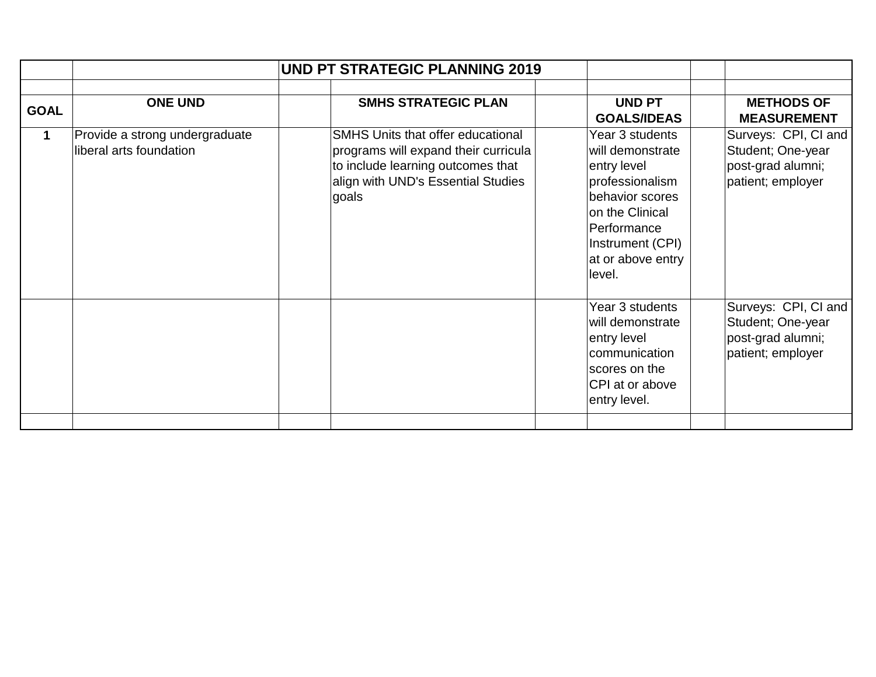|             | <b>UND PT STRATEGIC PLANNING 2019</b>                     |                                                                                                                                                                      |                                                                                                                                                                               |                                                                                     |
|-------------|-----------------------------------------------------------|----------------------------------------------------------------------------------------------------------------------------------------------------------------------|-------------------------------------------------------------------------------------------------------------------------------------------------------------------------------|-------------------------------------------------------------------------------------|
| <b>GOAL</b> | <b>ONE UND</b>                                            | <b>SMHS STRATEGIC PLAN</b>                                                                                                                                           | <b>UND PT</b><br><b>GOALS/IDEAS</b>                                                                                                                                           | <b>METHODS OF</b><br><b>MEASUREMENT</b>                                             |
| $\mathbf 1$ | Provide a strong undergraduate<br>liberal arts foundation | <b>SMHS Units that offer educational</b><br>programs will expand their curricula<br>to include learning outcomes that<br>align with UND's Essential Studies<br>goals | Year 3 students<br>will demonstrate<br>entry level<br>professionalism<br>behavior scores<br>on the Clinical<br>Performance<br>Instrument (CPI)<br>at or above entry<br>level. | Surveys: CPI, CI and<br>Student; One-year<br>post-grad alumni;<br>patient; employer |
|             |                                                           |                                                                                                                                                                      | Year 3 students<br>will demonstrate<br>entry level<br>communication<br>scores on the<br>CPI at or above<br>entry level.                                                       | Surveys: CPI, CI and<br>Student; One-year<br>post-grad alumni;<br>patient; employer |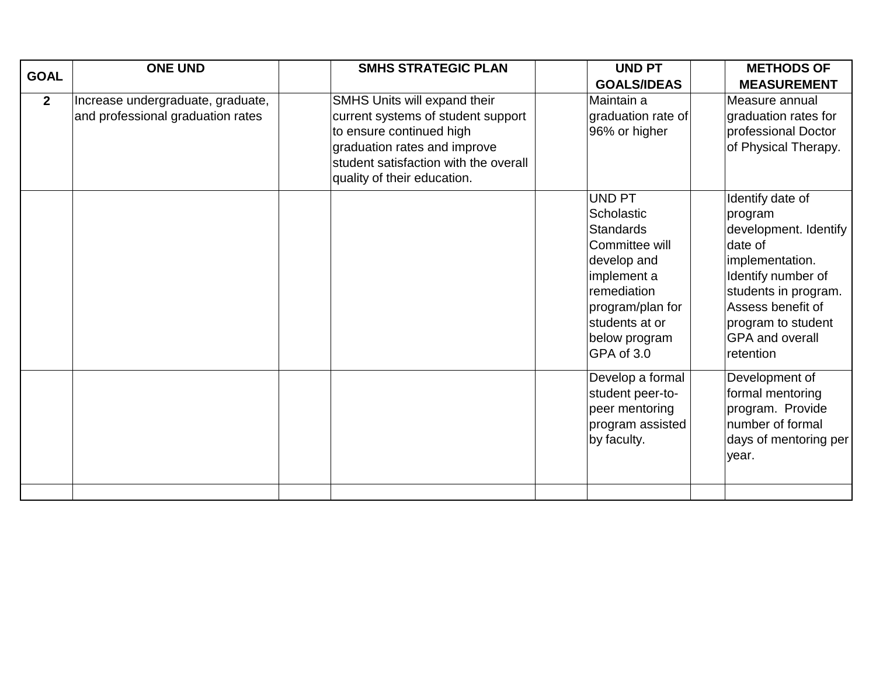| <b>GOAL</b>    | <b>ONE UND</b>                                                         | <b>SMHS STRATEGIC PLAN</b>                                                                                                                                                                             | <b>UND PT</b>                                                                                                                                                                       | <b>METHODS OF</b>                                                                                                                                                                                                  |
|----------------|------------------------------------------------------------------------|--------------------------------------------------------------------------------------------------------------------------------------------------------------------------------------------------------|-------------------------------------------------------------------------------------------------------------------------------------------------------------------------------------|--------------------------------------------------------------------------------------------------------------------------------------------------------------------------------------------------------------------|
|                |                                                                        |                                                                                                                                                                                                        | <b>GOALS/IDEAS</b>                                                                                                                                                                  | <b>MEASUREMENT</b>                                                                                                                                                                                                 |
| 2 <sup>1</sup> | Increase undergraduate, graduate,<br>and professional graduation rates | SMHS Units will expand their<br>current systems of student support<br>to ensure continued high<br>graduation rates and improve<br>student satisfaction with the overall<br>quality of their education. | Maintain a<br>graduation rate of<br>96% or higher                                                                                                                                   | Measure annual<br>graduation rates for<br>professional Doctor<br>of Physical Therapy.                                                                                                                              |
|                |                                                                        |                                                                                                                                                                                                        | <b>UND PT</b><br>Scholastic<br><b>Standards</b><br>Committee will<br>develop and<br>implement a<br>remediation<br>program/plan for<br>students at or<br>below program<br>GPA of 3.0 | Identify date of<br>program<br>development. Identify<br>date of<br>implementation.<br>Identify number of<br>students in program.<br>Assess benefit of<br>program to student<br><b>GPA and overall</b><br>retention |
|                |                                                                        |                                                                                                                                                                                                        | Develop a formal<br>student peer-to-<br>peer mentoring<br>program assisted<br>by faculty.                                                                                           | Development of<br>formal mentoring<br>program. Provide<br>number of formal<br>days of mentoring per<br>year.                                                                                                       |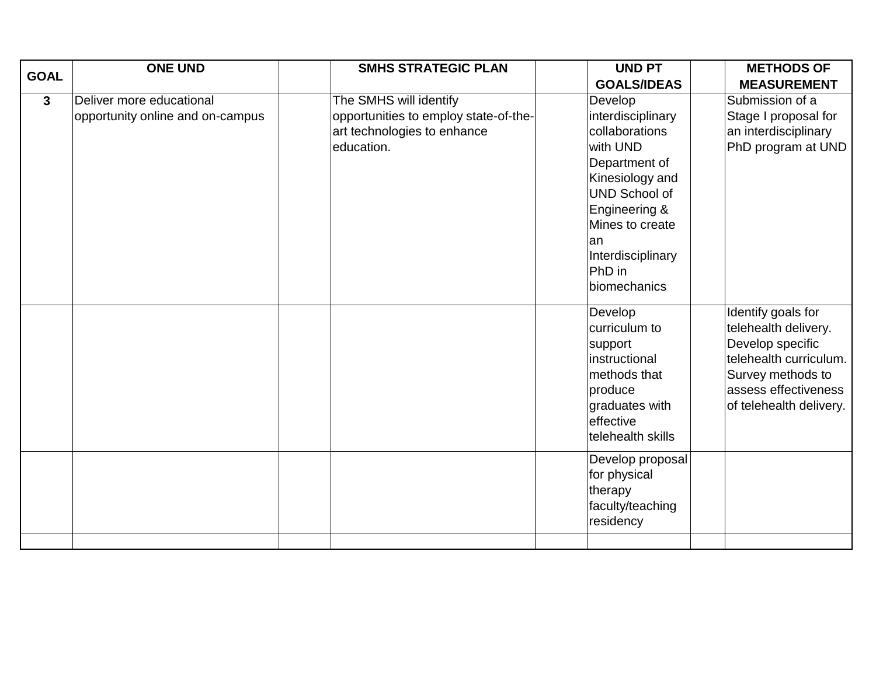| <b>GOAL</b>  | <b>ONE UND</b>                   | <b>SMHS STRATEGIC PLAN</b>            | <b>UND PT</b>                    | <b>METHODS OF</b>       |
|--------------|----------------------------------|---------------------------------------|----------------------------------|-------------------------|
|              |                                  |                                       | <b>GOALS/IDEAS</b>               | <b>MEASUREMENT</b>      |
| $\mathbf{3}$ | Deliver more educational         | The SMHS will identify                | Develop                          | Submission of a         |
|              | opportunity online and on-campus | opportunities to employ state-of-the- | interdisciplinary                | Stage I proposal for    |
|              |                                  | art technologies to enhance           | collaborations                   | an interdisciplinary    |
|              |                                  | education.                            | with UND                         | PhD program at UND      |
|              |                                  |                                       | Department of                    |                         |
|              |                                  |                                       | Kinesiology and                  |                         |
|              |                                  |                                       | <b>UND School of</b>             |                         |
|              |                                  |                                       | Engineering &<br>Mines to create |                         |
|              |                                  |                                       |                                  |                         |
|              |                                  |                                       | lan<br>Interdisciplinary         |                         |
|              |                                  |                                       | PhD in                           |                         |
|              |                                  |                                       | biomechanics                     |                         |
|              |                                  |                                       |                                  |                         |
|              |                                  |                                       | Develop                          | Identify goals for      |
|              |                                  |                                       | curriculum to                    | telehealth delivery.    |
|              |                                  |                                       | support                          | Develop specific        |
|              |                                  |                                       | instructional                    | telehealth curriculum.  |
|              |                                  |                                       | methods that                     | Survey methods to       |
|              |                                  |                                       | produce                          | assess effectiveness    |
|              |                                  |                                       | graduates with                   | of telehealth delivery. |
|              |                                  |                                       | effective                        |                         |
|              |                                  |                                       | telehealth skills                |                         |
|              |                                  |                                       | Develop proposal                 |                         |
|              |                                  |                                       | for physical                     |                         |
|              |                                  |                                       | therapy                          |                         |
|              |                                  |                                       | faculty/teaching                 |                         |
|              |                                  |                                       | residency                        |                         |
|              |                                  |                                       |                                  |                         |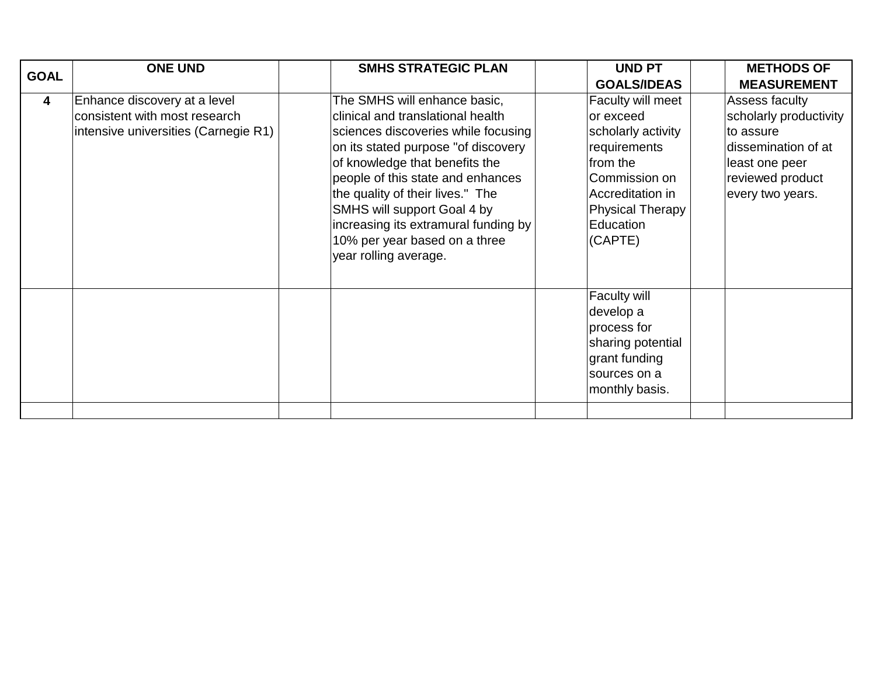| <b>GOAL</b>             | <b>ONE UND</b>                       | <b>SMHS STRATEGIC PLAN</b>           | <b>UND PT</b>           | <b>METHODS OF</b>      |
|-------------------------|--------------------------------------|--------------------------------------|-------------------------|------------------------|
|                         |                                      |                                      | <b>GOALS/IDEAS</b>      | <b>MEASUREMENT</b>     |
| $\overline{\mathbf{4}}$ | Enhance discovery at a level         | The SMHS will enhance basic,         | Faculty will meet       | Assess faculty         |
|                         | consistent with most research        | clinical and translational health    | or exceed               | scholarly productivity |
|                         | intensive universities (Carnegie R1) | sciences discoveries while focusing  | scholarly activity      | to assure              |
|                         |                                      | on its stated purpose "of discovery  | requirements            | dissemination of at    |
|                         |                                      | of knowledge that benefits the       | from the                | least one peer         |
|                         |                                      | people of this state and enhances    | Commission on           | reviewed product       |
|                         |                                      | the quality of their lives." The     | Accreditation in        | every two years.       |
|                         |                                      | SMHS will support Goal 4 by          | <b>Physical Therapy</b> |                        |
|                         |                                      | increasing its extramural funding by | Education               |                        |
|                         |                                      | 10% per year based on a three        | (CAPTE)                 |                        |
|                         |                                      | year rolling average.                |                         |                        |
|                         |                                      |                                      | Faculty will            |                        |
|                         |                                      |                                      | develop a               |                        |
|                         |                                      |                                      | process for             |                        |
|                         |                                      |                                      | sharing potential       |                        |
|                         |                                      |                                      | grant funding           |                        |
|                         |                                      |                                      | sources on a            |                        |
|                         |                                      |                                      | monthly basis.          |                        |
|                         |                                      |                                      |                         |                        |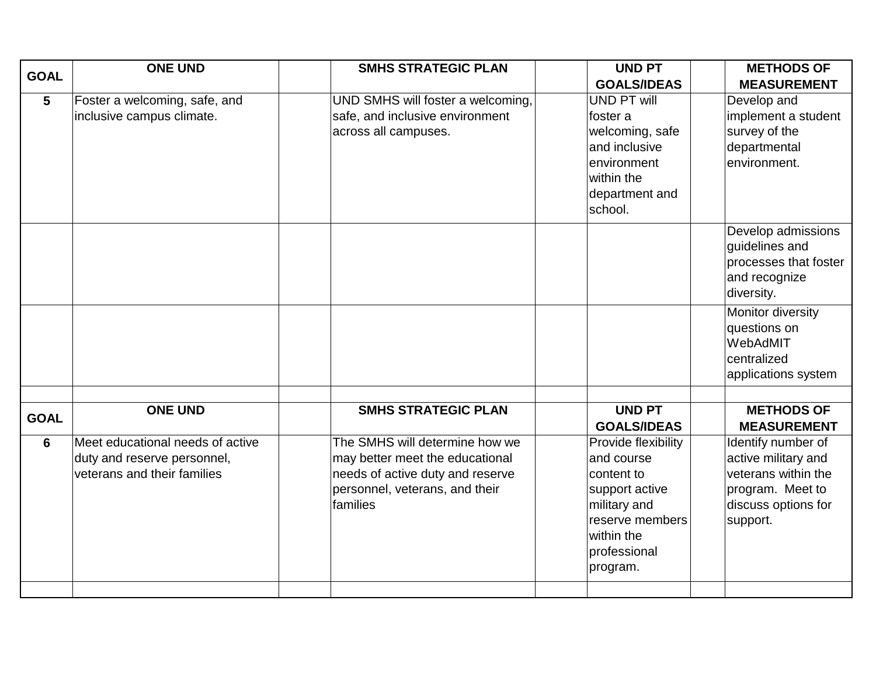| <b>GOAL</b>    | <b>ONE UND</b>                                                                                 | <b>SMHS STRATEGIC PLAN</b>                                                                                                                          | <b>UND PT</b><br><b>GOALS/IDEAS</b>                                                                                                            | <b>METHODS OF</b><br><b>MEASUREMENT</b>                                                                                 |
|----------------|------------------------------------------------------------------------------------------------|-----------------------------------------------------------------------------------------------------------------------------------------------------|------------------------------------------------------------------------------------------------------------------------------------------------|-------------------------------------------------------------------------------------------------------------------------|
| $5\phantom{1}$ | Foster a welcoming, safe, and<br>inclusive campus climate.                                     | UND SMHS will foster a welcoming,<br>safe, and inclusive environment<br>across all campuses.                                                        | <b>UND PT will</b><br>foster a<br>welcoming, safe<br>and inclusive<br>environment<br>within the<br>department and<br>school.                   | Develop and<br>implement a student<br>survey of the<br>departmental<br>environment.                                     |
|                |                                                                                                |                                                                                                                                                     |                                                                                                                                                | Develop admissions<br>guidelines and<br>processes that foster<br>and recognize<br>diversity.                            |
|                |                                                                                                |                                                                                                                                                     |                                                                                                                                                | Monitor diversity<br>questions on<br>WebAdMIT<br>centralized<br>applications system                                     |
| <b>GOAL</b>    | <b>ONE UND</b>                                                                                 | <b>SMHS STRATEGIC PLAN</b>                                                                                                                          | <b>UND PT</b><br><b>GOALS/IDEAS</b>                                                                                                            | <b>METHODS OF</b><br><b>MEASUREMENT</b>                                                                                 |
| 6              | Meet educational needs of active<br>duty and reserve personnel,<br>veterans and their families | The SMHS will determine how we<br>may better meet the educational<br>needs of active duty and reserve<br>personnel, veterans, and their<br>families | Provide flexibility<br>and course<br>content to<br>support active<br>military and<br>reserve members<br>within the<br>professional<br>program. | Identify number of<br>active military and<br>veterans within the<br>program. Meet to<br>discuss options for<br>support. |